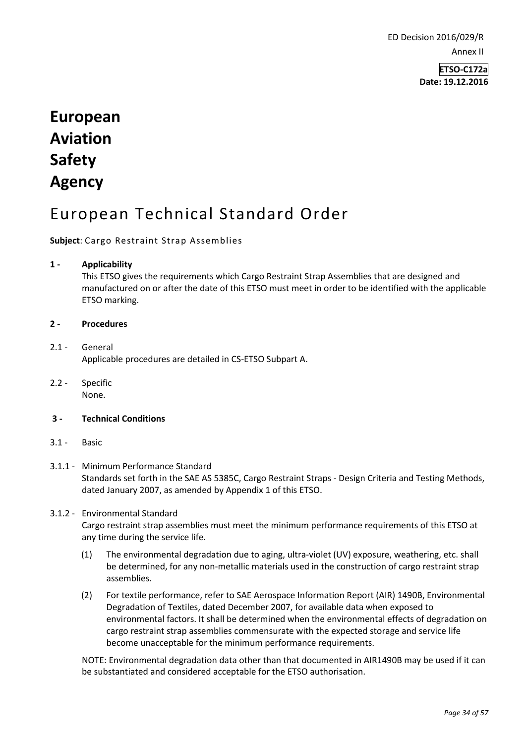ED Decision 2016/029/R Annex II

> **ETSO-C172a Date: 19.12.2016**

# **European Aviation Safety Agency**

## European Technical Standard Order

#### **Subject**: Cargo Restraint Strap Assemblies

#### **1 - Applicability**

This ETSO gives the requirements which Cargo Restraint Strap Assemblies that are designed and manufactured on or after the date of this ETSO must meet in order to be identified with the applicable ETSO marking.

#### **2 - Procedures**

- 2.1 General Applicable procedures are detailed in CS-ETSO Subpart A.
- 2.2 Specific None.
- **3 - Technical Conditions**
- 3.1 Basic

#### 3.1.1 - Minimum Performance Standard Standards set forth in the SAE AS 5385C, Cargo Restraint Straps - Design Criteria and Testing Methods, dated January 2007, as amended by Appendix 1 of this ETSO.

#### 3.1.2 - Environmental Standard

Cargo restraint strap assemblies must meet the minimum performance requirements of this ETSO at any time during the service life.

- (1) The environmental degradation due to aging, ultra-violet (UV) exposure, weathering, etc. shall be determined, for any non-metallic materials used in the construction of cargo restraint strap assemblies.
- (2) For textile performance, refer to SAE Aerospace Information Report (AIR) 1490B, Environmental Degradation of Textiles, dated December 2007, for available data when exposed to environmental factors. It shall be determined when the environmental effects of degradation on cargo restraint strap assemblies commensurate with the expected storage and service life become unacceptable for the minimum performance requirements.

NOTE: Environmental degradation data other than that documented in AIR1490B may be used if it can be substantiated and considered acceptable for the ETSO authorisation.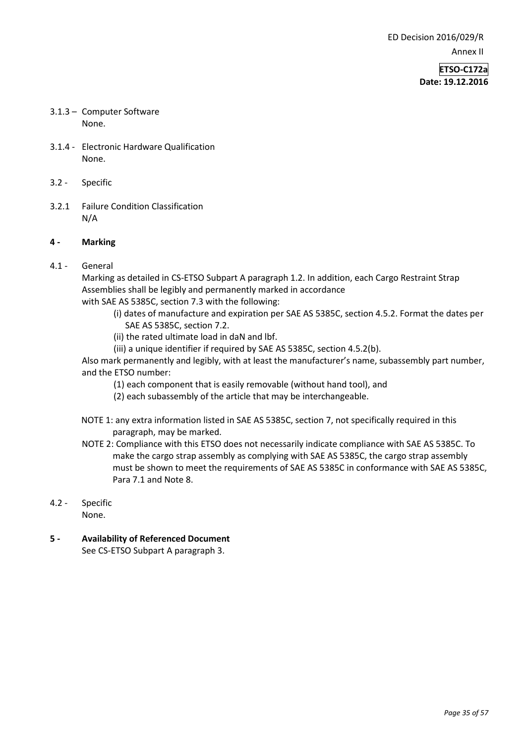**ETSO-C172a Date: 19.12.2016**

- 3.1.3 Computer Software None.
- 3.1.4 Electronic Hardware Qualification None.
- 3.2 Specific
- 3.2.1 Failure Condition Classification N/A

#### **4 - Marking**

4.1 - General

Marking as detailed in CS-ETSO Subpart A paragraph 1.2. In addition, each Cargo Restraint Strap Assemblies shall be legibly and permanently marked in accordance with SAE AS 5385C, section 7.3 with the following:

- (i) dates of manufacture and expiration per SAE AS 5385C, section 4.5.2. Format the dates per SAE AS 5385C, section 7.2.
- (ii) the rated ultimate load in daN and lbf.
- (iii) a unique identifier if required by SAE AS 5385C, section 4.5.2(b).

Also mark permanently and legibly, with at least the manufacturer's name, subassembly part number, and the ETSO number:

- (1) each component that is easily removable (without hand tool), and
- (2) each subassembly of the article that may be interchangeable.
- NOTE 1: any extra information listed in SAE AS 5385C, section 7, not specifically required in this paragraph, may be marked.
- NOTE 2: Compliance with this ETSO does not necessarily indicate compliance with SAE AS 5385C. To make the cargo strap assembly as complying with SAE AS 5385C, the cargo strap assembly must be shown to meet the requirements of SAE AS 5385C in conformance with SAE AS 5385C, Para 7.1 and Note 8.

### 4.2 - Specific

None.

**5 - Availability of Referenced Document**  See CS-ETSO Subpart A paragraph 3.